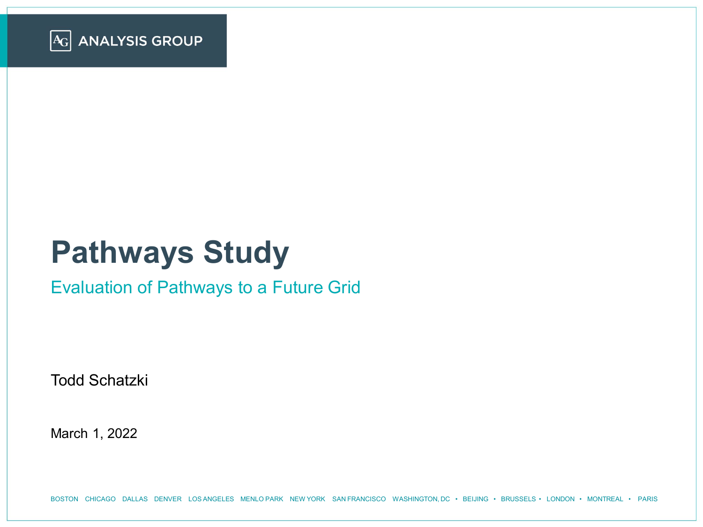

# **Pathways Study**

#### Evaluation of Pathways to a Future Grid

Todd Schatzki

March 1, 2022

BOSTON CHICAGO DALLAS DENVER LOS ANGELES MENLO PARK NEW YORK SAN FRANCISCO WASHINGTON, DC • BEIJING • BRUSSELS • LONDON • MONTREAL • PARIS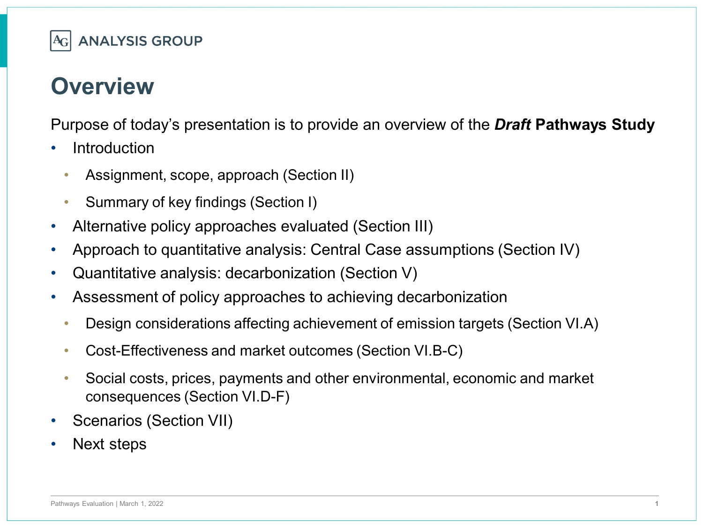

#### **Overview**

Purpose of today's presentation is to provide an overview of the *Draft* **Pathways Study** 

- **Introduction** 
	- Assignment, scope, approach (Section II)
	- Summary of key findings (Section I)
- Alternative policy approaches evaluated (Section III)
- Approach to quantitative analysis: Central Case assumptions (Section IV)
- Quantitative analysis: decarbonization (Section V)
- Assessment of policy approaches to achieving decarbonization
	- Design considerations affecting achievement of emission targets (Section VI.A)
	- Cost-Effectiveness and market outcomes (Section VI.B-C)
	- Social costs, prices, payments and other environmental, economic and market consequences (Section VI.D-F)
- Scenarios (Section VII)
- Next steps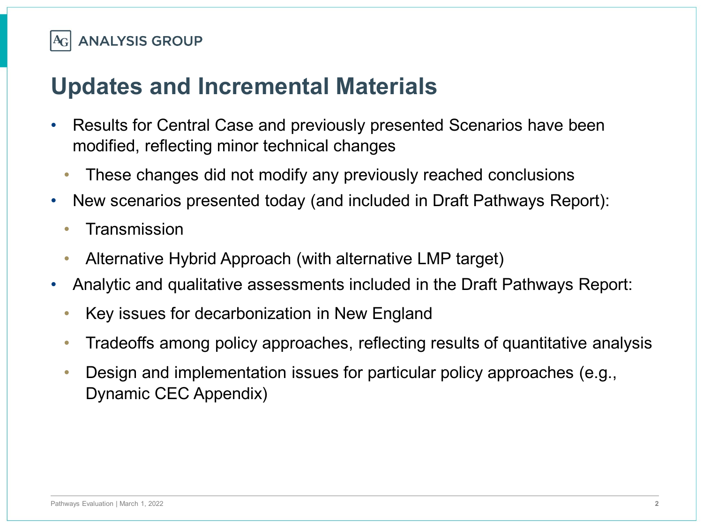#### **Updates and Incremental Materials**

- Results for Central Case and previously presented Scenarios have been modified, reflecting minor technical changes
	- These changes did not modify any previously reached conclusions
- New scenarios presented today (and included in Draft Pathways Report):
	- **Transmission**
	- Alternative Hybrid Approach (with alternative LMP target)
- Analytic and qualitative assessments included in the Draft Pathways Report:
	- Key issues for decarbonization in New England
	- Tradeoffs among policy approaches, reflecting results of quantitative analysis
	- Design and implementation issues for particular policy approaches (e.g., Dynamic CEC Appendix)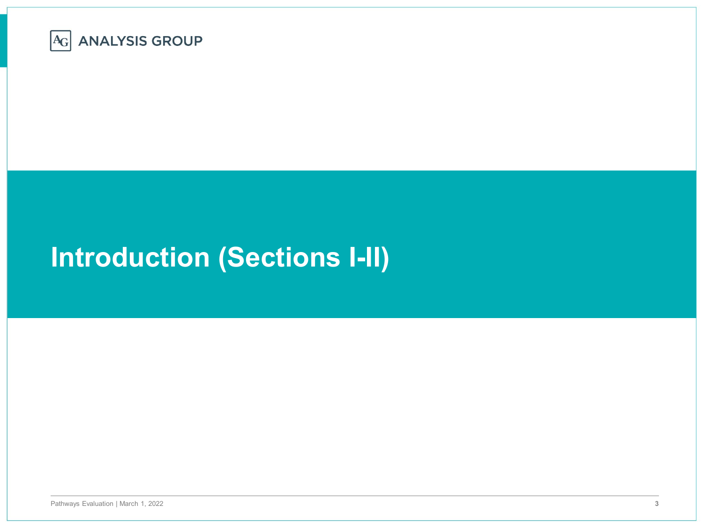

# **Introduction (Sections I-II)**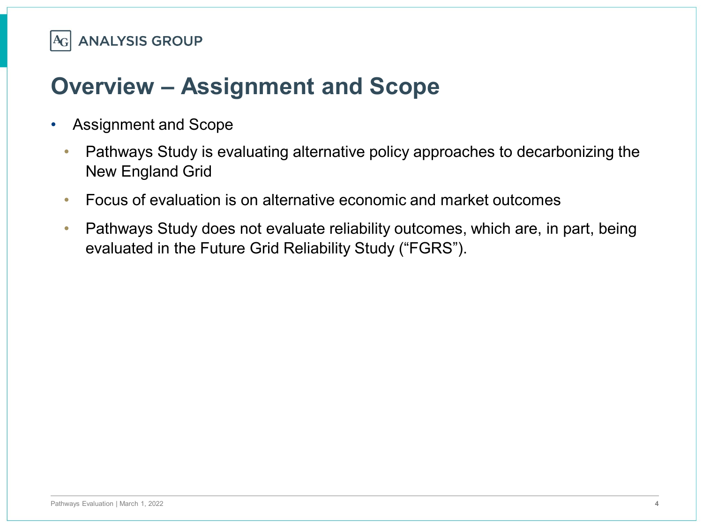## **Overview – Assignment and Scope**

- Assignment and Scope
	- Pathways Study is evaluating alternative policy approaches to decarbonizing the New England Grid
	- Focus of evaluation is on alternative economic and market outcomes
	- Pathways Study does not evaluate reliability outcomes, which are, in part, being evaluated in the Future Grid Reliability Study ("FGRS").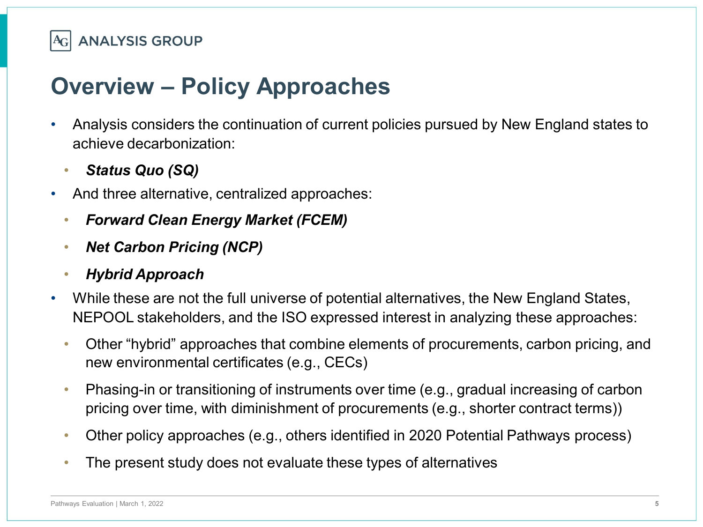

## **Overview – Policy Approaches**

- Analysis considers the continuation of current policies pursued by New England states to achieve decarbonization:
	- *Status Quo (SQ)*
- And three alternative, centralized approaches:
	- *Forward Clean Energy Market (FCEM)*
	- *Net Carbon Pricing (NCP)*
	- *Hybrid Approach*
- While these are not the full universe of potential alternatives, the New England States, NEPOOL stakeholders, and the ISO expressed interest in analyzing these approaches:
	- Other "hybrid" approaches that combine elements of procurements, carbon pricing, and new environmental certificates (e.g., CECs)
	- Phasing-in or transitioning of instruments over time (e.g., gradual increasing of carbon pricing over time, with diminishment of procurements (e.g., shorter contract terms))
	- Other policy approaches (e.g., others identified in 2020 Potential Pathways process)
	- The present study does not evaluate these types of alternatives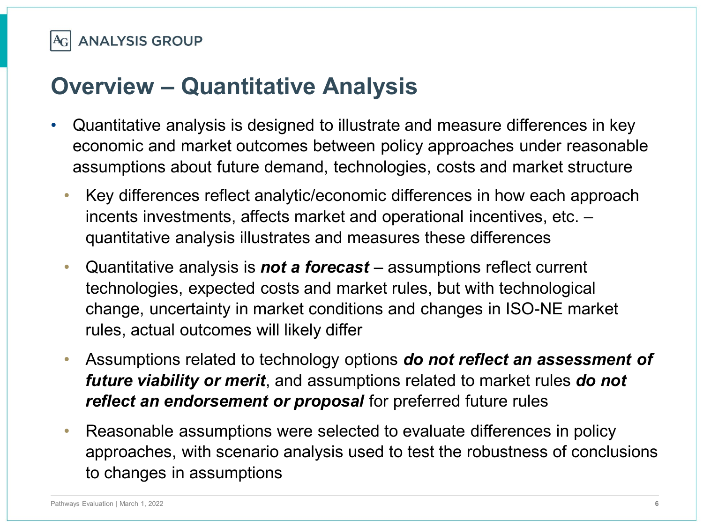

#### **Overview – Quantitative Analysis**

- Quantitative analysis is designed to illustrate and measure differences in key economic and market outcomes between policy approaches under reasonable assumptions about future demand, technologies, costs and market structure
	- Key differences reflect analytic/economic differences in how each approach incents investments, affects market and operational incentives, etc. – quantitative analysis illustrates and measures these differences
	- Quantitative analysis is *not a forecast*  assumptions reflect current technologies, expected costs and market rules, but with technological change, uncertainty in market conditions and changes in ISO-NE market rules, actual outcomes will likely differ
	- Assumptions related to technology options *do not reflect an assessment of future viability or merit*, and assumptions related to market rules *do not reflect an endorsement or proposal* for preferred future rules
	- Reasonable assumptions were selected to evaluate differences in policy approaches, with scenario analysis used to test the robustness of conclusions to changes in assumptions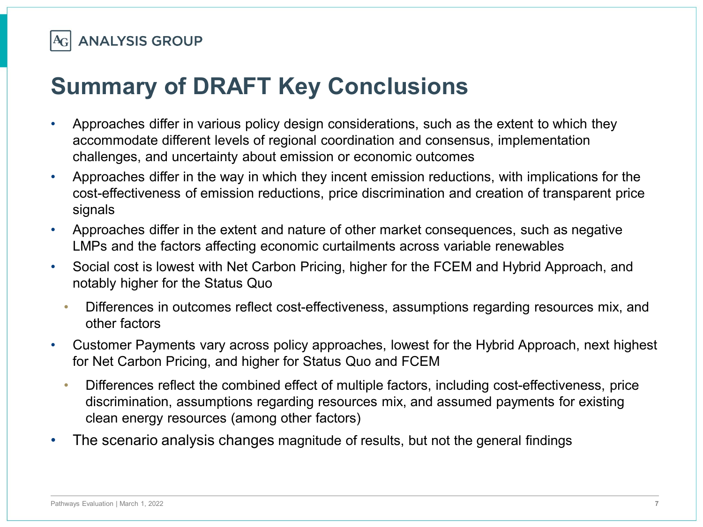

# **Summary of DRAFT Key Conclusions**

**ANALYSIS GROUP** 

 $A_{G}$ 

- Approaches differ in various policy design considerations, such as the extent to which they accommodate different levels of regional coordination and consensus, implementation challenges, and uncertainty about emission or economic outcomes
- Approaches differ in the way in which they incent emission reductions, with implications for the cost-effectiveness of emission reductions, price discrimination and creation of transparent price signals
- Approaches differ in the extent and nature of other market consequences, such as negative LMPs and the factors affecting economic curtailments across variable renewables
- Social cost is lowest with Net Carbon Pricing, higher for the FCEM and Hybrid Approach, and notably higher for the Status Quo
	- Differences in outcomes reflect cost-effectiveness, assumptions regarding resources mix, and other factors
- Customer Payments vary across policy approaches, lowest for the Hybrid Approach, next highest for Net Carbon Pricing, and higher for Status Quo and FCEM
	- Differences reflect the combined effect of multiple factors, including cost-effectiveness, price discrimination, assumptions regarding resources mix, and assumed payments for existing clean energy resources (among other factors)
- The scenario analysis changes magnitude of results, but not the general findings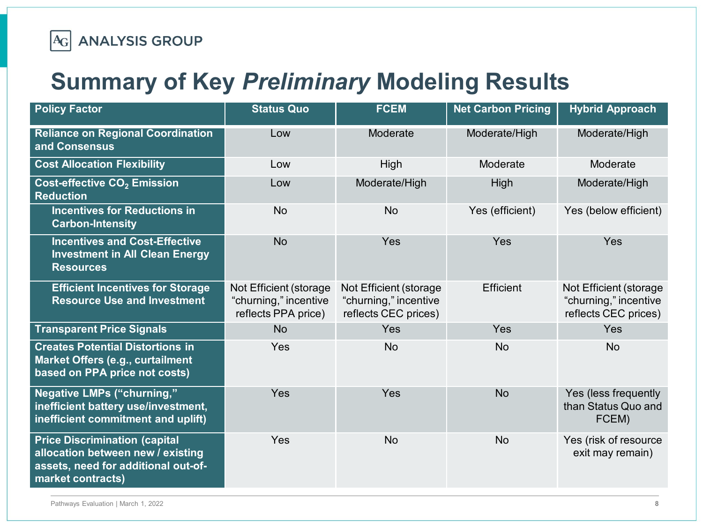

### **Summary of Key** *Preliminary* **Modeling Results**

| <b>Policy Factor</b>                                                                                                                  | <b>Status Quo</b>                                                      | <b>FCEM</b>                                                             | <b>Net Carbon Pricing</b> | <b>Hybrid Approach</b>                                                  |
|---------------------------------------------------------------------------------------------------------------------------------------|------------------------------------------------------------------------|-------------------------------------------------------------------------|---------------------------|-------------------------------------------------------------------------|
| <b>Reliance on Regional Coordination</b><br>and Consensus                                                                             | Low                                                                    | Moderate                                                                | Moderate/High             | Moderate/High                                                           |
| <b>Cost Allocation Flexibility</b>                                                                                                    | Low                                                                    | High                                                                    | Moderate                  | Moderate                                                                |
| Cost-effective CO <sub>2</sub> Emission<br><b>Reduction</b>                                                                           | Low                                                                    | Moderate/High                                                           | High                      | Moderate/High                                                           |
| <b>Incentives for Reductions in</b><br><b>Carbon-Intensity</b>                                                                        | <b>No</b>                                                              | <b>No</b>                                                               | Yes (efficient)           | Yes (below efficient)                                                   |
| <b>Incentives and Cost-Effective</b><br><b>Investment in All Clean Energy</b><br><b>Resources</b>                                     | <b>No</b>                                                              | Yes                                                                     | Yes                       | Yes                                                                     |
| <b>Efficient Incentives for Storage</b><br><b>Resource Use and Investment</b>                                                         | Not Efficient (storage<br>"churning," incentive<br>reflects PPA price) | Not Efficient (storage<br>"churning," incentive<br>reflects CEC prices) | Efficient                 | Not Efficient (storage<br>"churning," incentive<br>reflects CEC prices) |
| <b>Transparent Price Signals</b>                                                                                                      | <b>No</b>                                                              | Yes                                                                     | Yes                       | <b>Yes</b>                                                              |
| <b>Creates Potential Distortions in</b><br><b>Market Offers (e.g., curtailment</b><br>based on PPA price not costs)                   | Yes                                                                    | <b>No</b>                                                               | <b>No</b>                 | <b>No</b>                                                               |
| <b>Negative LMPs ("churning,"</b><br>inefficient battery use/investment,<br>inefficient commitment and uplift)                        | Yes                                                                    | Yes                                                                     | <b>No</b>                 | Yes (less frequently<br>than Status Quo and<br>FCEM)                    |
| <b>Price Discrimination (capital</b><br>allocation between new / existing<br>assets, need for additional out-of-<br>market contracts) | Yes                                                                    | <b>No</b>                                                               | <b>No</b>                 | Yes (risk of resource<br>exit may remain)                               |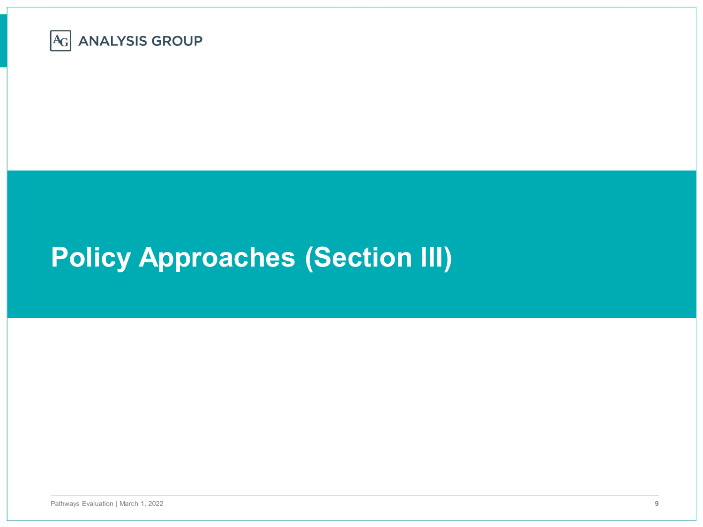

# **Policy Approaches (Section III)**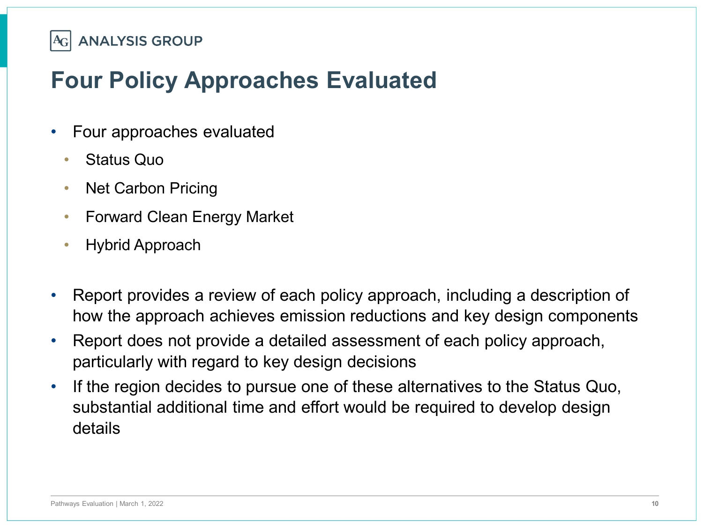## **Four Policy Approaches Evaluated**

- Four approaches evaluated
	- Status Quo
	- Net Carbon Pricing
	- Forward Clean Energy Market
	- Hybrid Approach
- Report provides a review of each policy approach, including a description of how the approach achieves emission reductions and key design components
- Report does not provide a detailed assessment of each policy approach, particularly with regard to key design decisions
- If the region decides to pursue one of these alternatives to the Status Quo, substantial additional time and effort would be required to develop design details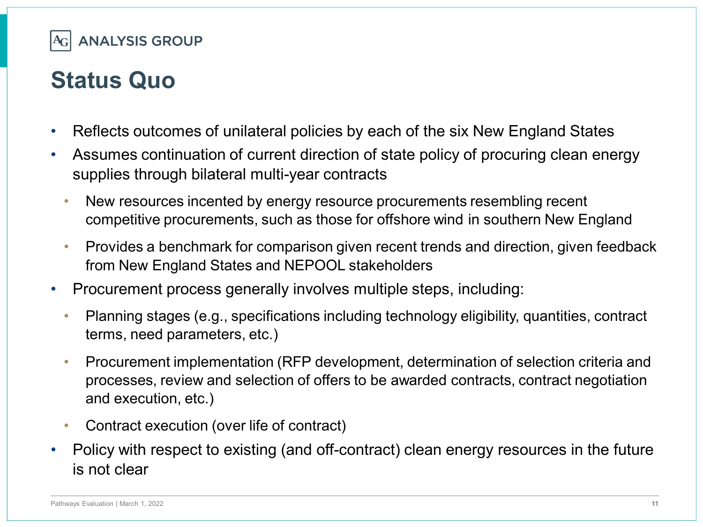

#### **Status Quo**

- Reflects outcomes of unilateral policies by each of the six New England States
- Assumes continuation of current direction of state policy of procuring clean energy supplies through bilateral multi-year contracts
	- New resources incented by energy resource procurements resembling recent competitive procurements, such as those for offshore wind in southern New England
	- Provides a benchmark for comparison given recent trends and direction, given feedback from New England States and NEPOOL stakeholders
- Procurement process generally involves multiple steps, including:
	- Planning stages (e.g., specifications including technology eligibility, quantities, contract terms, need parameters, etc.)
	- Procurement implementation (RFP development, determination of selection criteria and processes, review and selection of offers to be awarded contracts, contract negotiation and execution, etc.)
	- Contract execution (over life of contract)
- Policy with respect to existing (and off-contract) clean energy resources in the future is not clear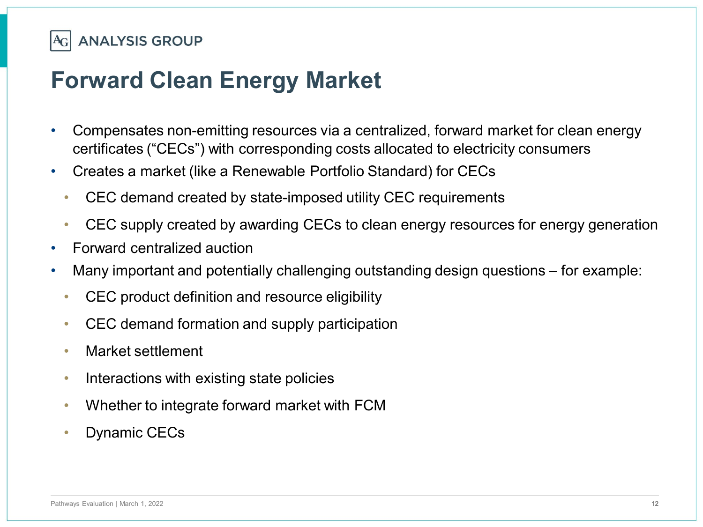

#### **Forward Clean Energy Market**

- Compensates non-emitting resources via a centralized, forward market for clean energy certificates ("CECs") with corresponding costs allocated to electricity consumers
- Creates a market (like a Renewable Portfolio Standard) for CECs
	- CEC demand created by state-imposed utility CEC requirements
	- CEC supply created by awarding CECs to clean energy resources for energy generation
- Forward centralized auction
- Many important and potentially challenging outstanding design questions for example:
	- CEC product definition and resource eligibility
	- CEC demand formation and supply participation
	- Market settlement
	- Interactions with existing state policies
	- Whether to integrate forward market with FCM
	- Dynamic CECs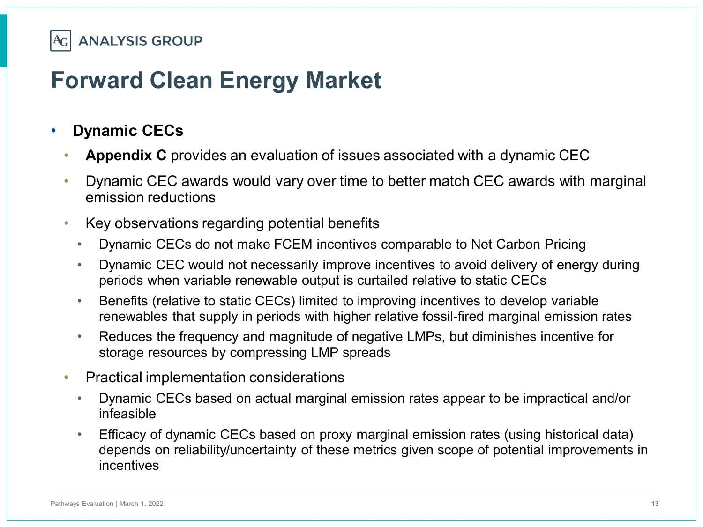

#### **Forward Clean Energy Market**

#### • **Dynamic CECs**

- **Appendix C** provides an evaluation of issues associated with a dynamic CEC
- Dynamic CEC awards would vary over time to better match CEC awards with marginal emission reductions
- Key observations regarding potential benefits
	- Dynamic CECs do not make FCEM incentives comparable to Net Carbon Pricing
	- Dynamic CEC would not necessarily improve incentives to avoid delivery of energy during periods when variable renewable output is curtailed relative to static CECs
	- Benefits (relative to static CECs) limited to improving incentives to develop variable renewables that supply in periods with higher relative fossil-fired marginal emission rates
	- Reduces the frequency and magnitude of negative LMPs, but diminishes incentive for storage resources by compressing LMP spreads
- Practical implementation considerations
	- Dynamic CECs based on actual marginal emission rates appear to be impractical and/or infeasible
	- Efficacy of dynamic CECs based on proxy marginal emission rates (using historical data) depends on reliability/uncertainty of these metrics given scope of potential improvements in incentives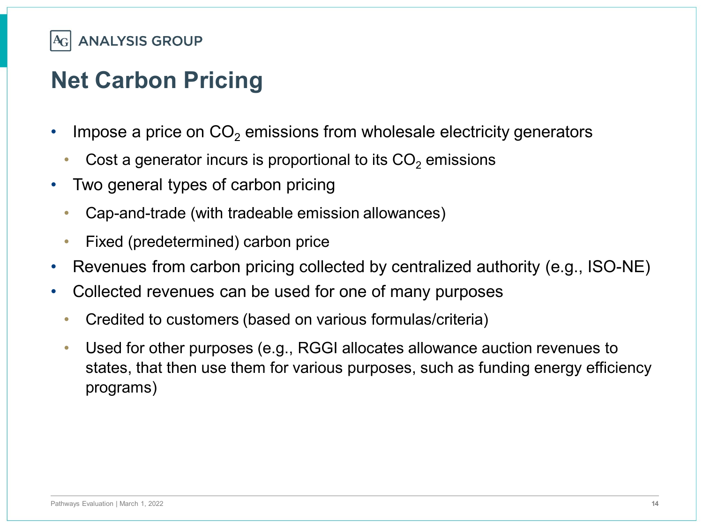

# **Net Carbon Pricing**

- Impose a price on  $CO<sub>2</sub>$  emissions from wholesale electricity generators
	- Cost a generator incurs is proportional to its  $CO<sub>2</sub>$  emissions
- Two general types of carbon pricing
	- Cap-and-trade (with tradeable emission allowances)
	- Fixed (predetermined) carbon price
- Revenues from carbon pricing collected by centralized authority (e.g., ISO-NE)
- Collected revenues can be used for one of many purposes
	- Credited to customers (based on various formulas/criteria)
	- Used for other purposes (e.g., RGGI allocates allowance auction revenues to states, that then use them for various purposes, such as funding energy efficiency programs)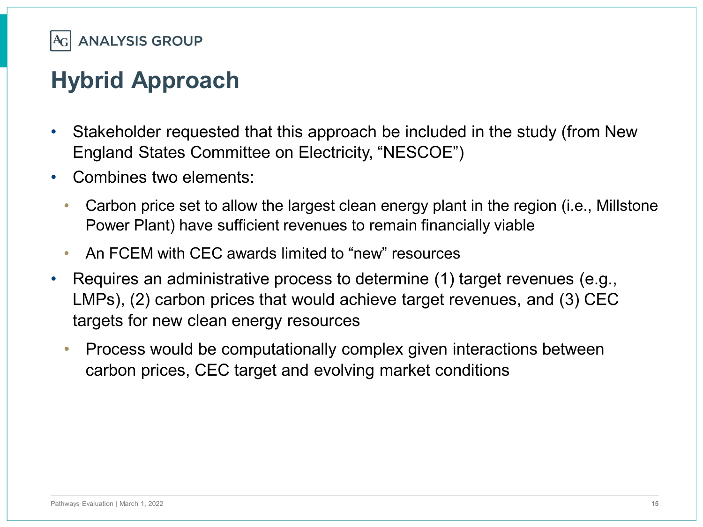

# **Hybrid Approach**

- Stakeholder requested that this approach be included in the study (from New England States Committee on Electricity, "NESCOE")
- Combines two elements:
	- Carbon price set to allow the largest clean energy plant in the region (i.e., Millstone Power Plant) have sufficient revenues to remain financially viable
	- An FCEM with CEC awards limited to "new" resources
- Requires an administrative process to determine (1) target revenues (e.g., LMPs), (2) carbon prices that would achieve target revenues, and (3) CEC targets for new clean energy resources
	- Process would be computationally complex given interactions between carbon prices, CEC target and evolving market conditions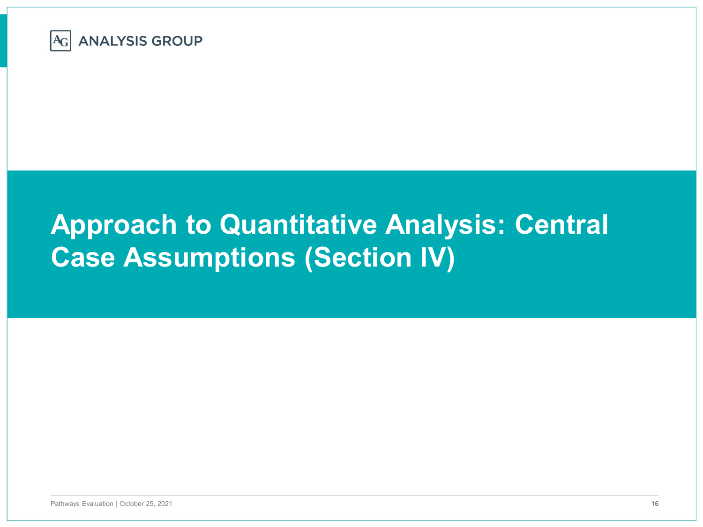

# **Approach to Quantitative Analysis: Central Case Assumptions (Section IV)**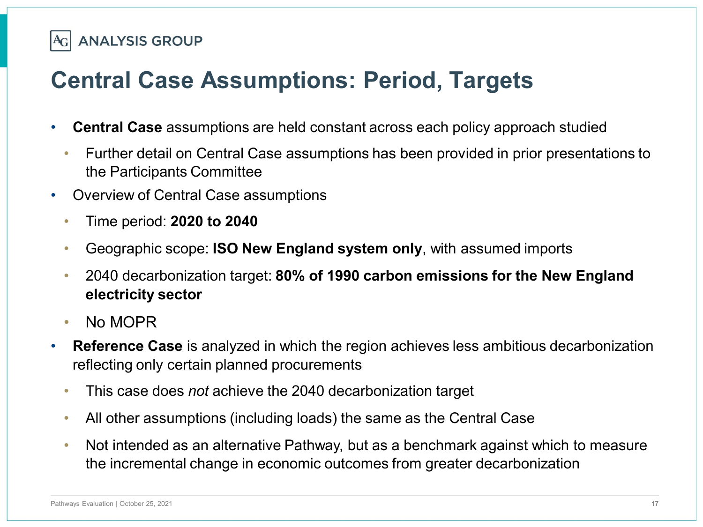# **Central Case Assumptions: Period, Targets**

- **Central Case** assumptions are held constant across each policy approach studied
	- Further detail on Central Case assumptions has been provided in prior presentations to the Participants Committee
- Overview of Central Case assumptions
	- Time period: **2020 to 2040**
	- Geographic scope: **ISO New England system only**, with assumed imports
	- 2040 decarbonization target: **80% of 1990 carbon emissions for the New England electricity sector**
	- No MOPR
- **Reference Case** is analyzed in which the region achieves less ambitious decarbonization reflecting only certain planned procurements
	- This case does *not* achieve the 2040 decarbonization target
	- All other assumptions (including loads) the same as the Central Case
	- Not intended as an alternative Pathway, but as a benchmark against which to measure the incremental change in economic outcomes from greater decarbonization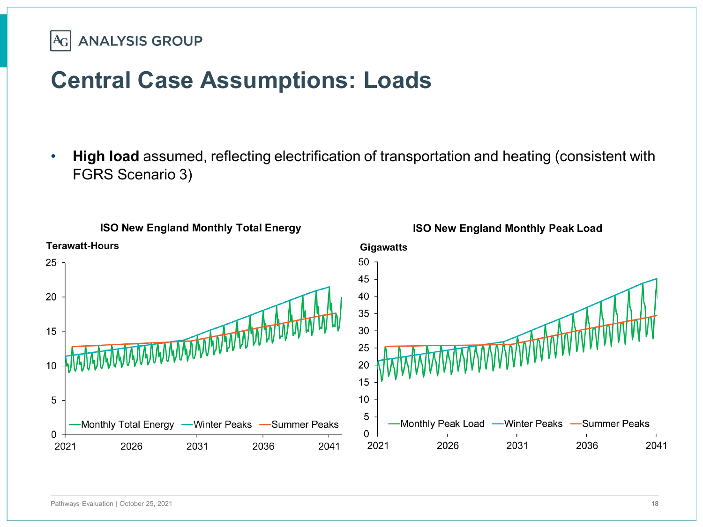**ANALYSIS GROUP**  $A_{G}$ 

## **Central Case Assumptions: Loads**

• **High load** assumed, reflecting electrification of transportation and heating (consistent with FGRS Scenario 3)

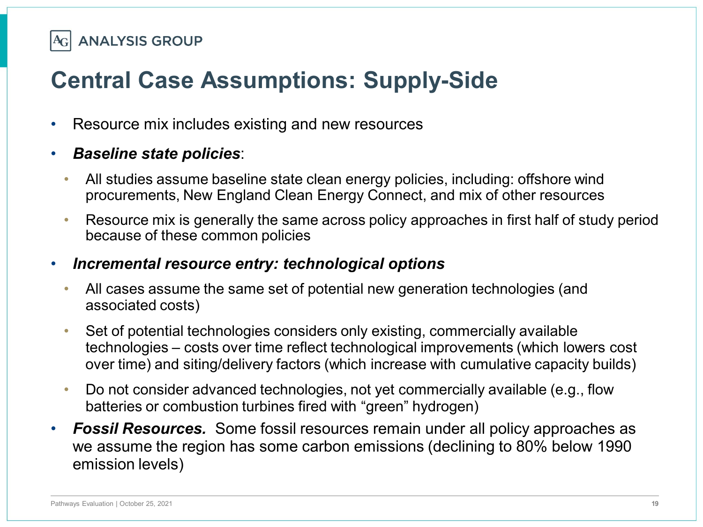# **Central Case Assumptions: Supply-Side**

- Resource mix includes existing and new resources
- *Baseline state policies*:
	- All studies assume baseline state clean energy policies, including: offshore wind procurements, New England Clean Energy Connect, and mix of other resources
	- Resource mix is generally the same across policy approaches in first half of study period because of these common policies

#### • *Incremental resource entry: technological options*

- All cases assume the same set of potential new generation technologies (and associated costs)
- Set of potential technologies considers only existing, commercially available technologies – costs over time reflect technological improvements (which lowers cost over time) and siting/delivery factors (which increase with cumulative capacity builds)
- Do not consider advanced technologies, not yet commercially available (e.g., flow batteries or combustion turbines fired with "green" hydrogen)
- *Fossil Resources.* Some fossil resources remain under all policy approaches as we assume the region has some carbon emissions (declining to 80% below 1990 emission levels)